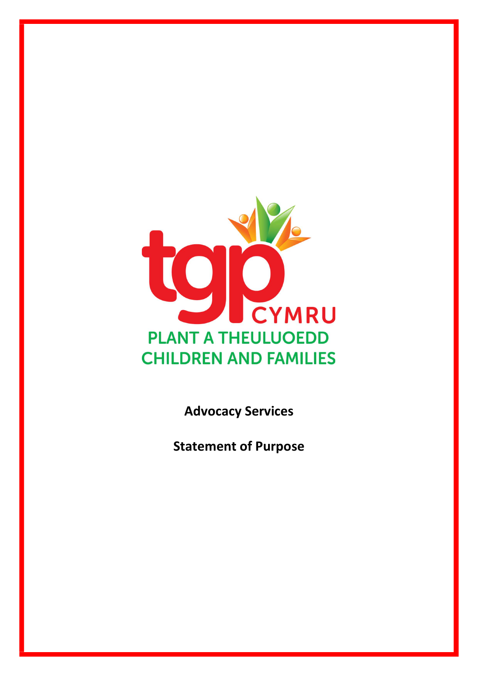

Advocacy Services

Statement of Purpose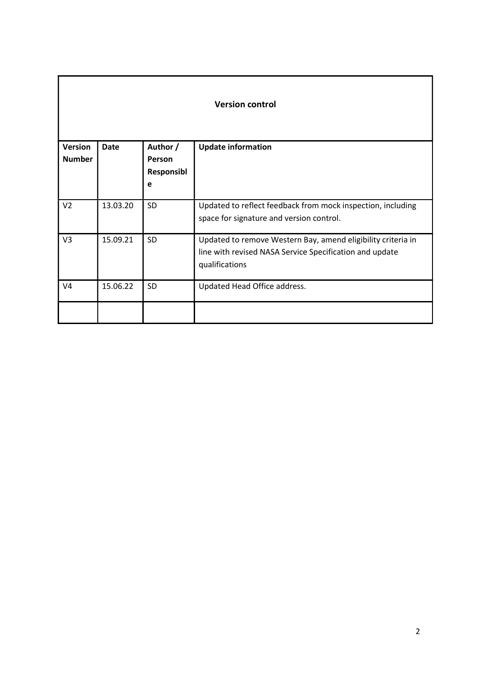| <b>Version</b><br><b>Number</b> | <b>Date</b> | Author /<br><b>Person</b><br>Responsibl<br>e | <b>Update information</b>                                                                                                                 |
|---------------------------------|-------------|----------------------------------------------|-------------------------------------------------------------------------------------------------------------------------------------------|
| V <sub>2</sub>                  | 13.03.20    | <b>SD</b>                                    | Updated to reflect feedback from mock inspection, including<br>space for signature and version control.                                   |
| V <sub>3</sub>                  | 15.09.21    | <b>SD</b>                                    | Updated to remove Western Bay, amend eligibility criteria in<br>line with revised NASA Service Specification and update<br>qualifications |
| V <sub>4</sub>                  | 15.06.22    | <b>SD</b>                                    | Updated Head Office address.                                                                                                              |
|                                 |             |                                              |                                                                                                                                           |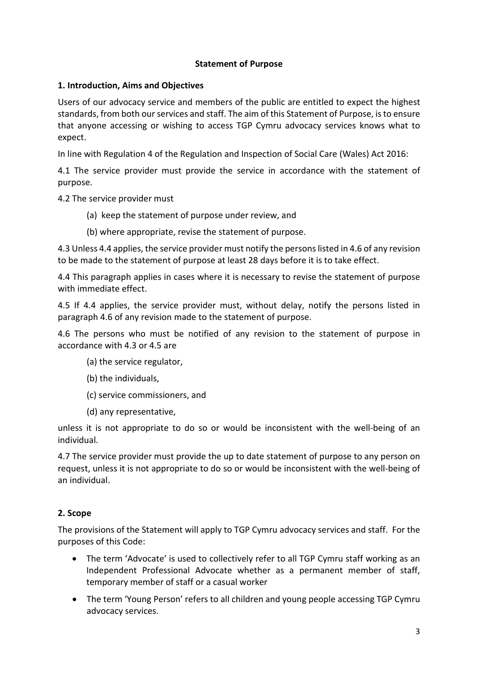# Statement of Purpose

# 1. Introduction, Aims and Objectives

Users of our advocacy service and members of the public are entitled to expect the highest standards, from both our services and staff. The aim of this Statement of Purpose, is to ensure that anyone accessing or wishing to access TGP Cymru advocacy services knows what to expect.

In line with Regulation 4 of the Regulation and Inspection of Social Care (Wales) Act 2016:

4.1 The service provider must provide the service in accordance with the statement of purpose.

4.2 The service provider must

- (a) keep the statement of purpose under review, and
- (b) where appropriate, revise the statement of purpose.

4.3 Unless 4.4 applies, the service provider must notify the persons listed in 4.6 of any revision to be made to the statement of purpose at least 28 days before it is to take effect.

4.4 This paragraph applies in cases where it is necessary to revise the statement of purpose with immediate effect.

4.5 If 4.4 applies, the service provider must, without delay, notify the persons listed in paragraph 4.6 of any revision made to the statement of purpose.

4.6 The persons who must be notified of any revision to the statement of purpose in accordance with 4.3 or 4.5 are

- (a) the service regulator,
- (b) the individuals,
- (c) service commissioners, and
- (d) any representative,

unless it is not appropriate to do so or would be inconsistent with the well-being of an individual.

4.7 The service provider must provide the up to date statement of purpose to any person on request, unless it is not appropriate to do so or would be inconsistent with the well-being of an individual.

# 2. Scope

The provisions of the Statement will apply to TGP Cymru advocacy services and staff. For the purposes of this Code:

- The term 'Advocate' is used to collectively refer to all TGP Cymru staff working as an Independent Professional Advocate whether as a permanent member of staff, temporary member of staff or a casual worker
- The term 'Young Person' refers to all children and young people accessing TGP Cymru advocacy services.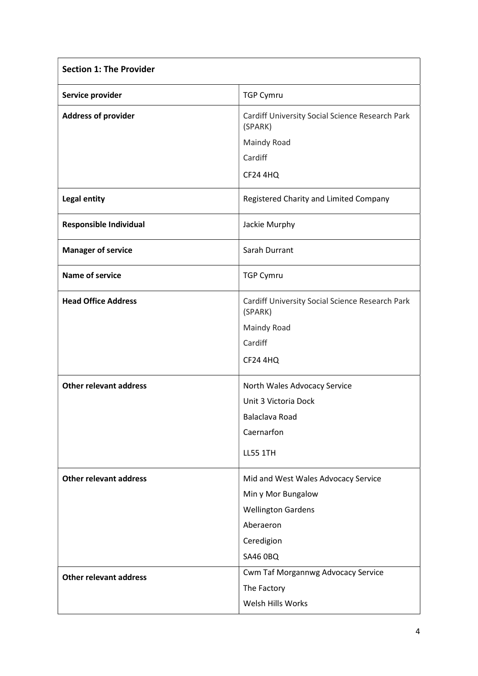| <b>Section 1: The Provider</b> |                                                            |
|--------------------------------|------------------------------------------------------------|
| Service provider               | <b>TGP Cymru</b>                                           |
| <b>Address of provider</b>     | Cardiff University Social Science Research Park<br>(SPARK) |
|                                | Maindy Road                                                |
|                                | Cardiff                                                    |
|                                | <b>CF24 4HQ</b>                                            |
| <b>Legal entity</b>            | Registered Charity and Limited Company                     |
| <b>Responsible Individual</b>  | Jackie Murphy                                              |
| <b>Manager of service</b>      | Sarah Durrant                                              |
| <b>Name of service</b>         | <b>TGP Cymru</b>                                           |
| <b>Head Office Address</b>     | Cardiff University Social Science Research Park<br>(SPARK) |
|                                | Maindy Road                                                |
|                                | Cardiff                                                    |
|                                | <b>CF24 4HQ</b>                                            |
| <b>Other relevant address</b>  | North Wales Advocacy Service                               |
|                                | Unit 3 Victoria Dock                                       |
|                                | Balaclava Road                                             |
|                                | Caernarfon                                                 |
|                                | <b>LL55 1TH</b>                                            |
| <b>Other relevant address</b>  | Mid and West Wales Advocacy Service                        |
|                                | Min y Mor Bungalow                                         |
|                                | <b>Wellington Gardens</b>                                  |
|                                | Aberaeron                                                  |
|                                | Ceredigion                                                 |
|                                | <b>SA46 0BQ</b>                                            |
| <b>Other relevant address</b>  | Cwm Taf Morgannwg Advocacy Service                         |
|                                | The Factory                                                |
|                                | Welsh Hills Works                                          |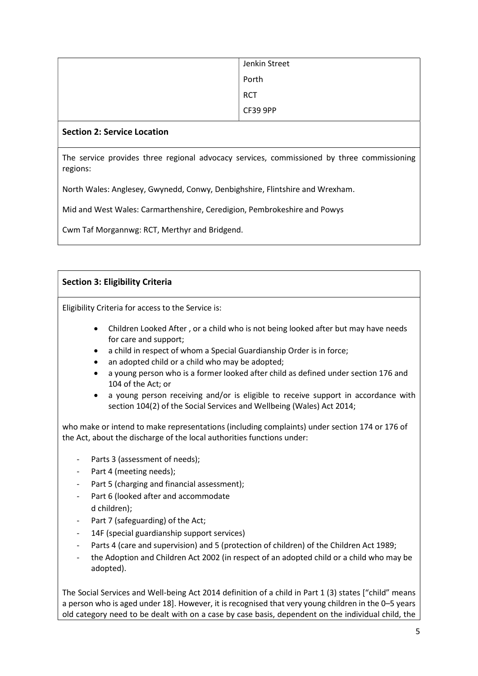| Jenkin Street |
|---------------|
| Porth         |
| <b>RCT</b>    |
| CF39 9PP      |

## Section 2: Service Location

The service provides three regional advocacy services, commissioned by three commissioning regions:

North Wales: Anglesey, Gwynedd, Conwy, Denbighshire, Flintshire and Wrexham.

Mid and West Wales: Carmarthenshire, Ceredigion, Pembrokeshire and Powys

Cwm Taf Morgannwg: RCT, Merthyr and Bridgend.

# Section 3: Eligibility Criteria

Eligibility Criteria for access to the Service is:

- Children Looked After , or a child who is not being looked after but may have needs for care and support;
- a child in respect of whom a Special Guardianship Order is in force;
- an adopted child or a child who may be adopted;
- a young person who is a former looked after child as defined under section 176 and 104 of the Act; or
- a young person receiving and/or is eligible to receive support in accordance with section 104(2) of the Social Services and Wellbeing (Wales) Act 2014;

who make or intend to make representations (including complaints) under section 174 or 176 of the Act, about the discharge of the local authorities functions under:

- Parts 3 (assessment of needs);
- Part 4 (meeting needs):
- Part 5 (charging and financial assessment);
- Part 6 (looked after and accommodate d children);
- Part 7 (safeguarding) of the Act;
- 14F (special guardianship support services)
- Parts 4 (care and supervision) and 5 (protection of children) of the Children Act 1989;
- the Adoption and Children Act 2002 (in respect of an adopted child or a child who may be adopted).

The Social Services and Well-being Act 2014 definition of a child in Part 1 (3) states ["child" means a person who is aged under 18]. However, it is recognised that very young children in the 0–5 years old category need to be dealt with on a case by case basis, dependent on the individual child, the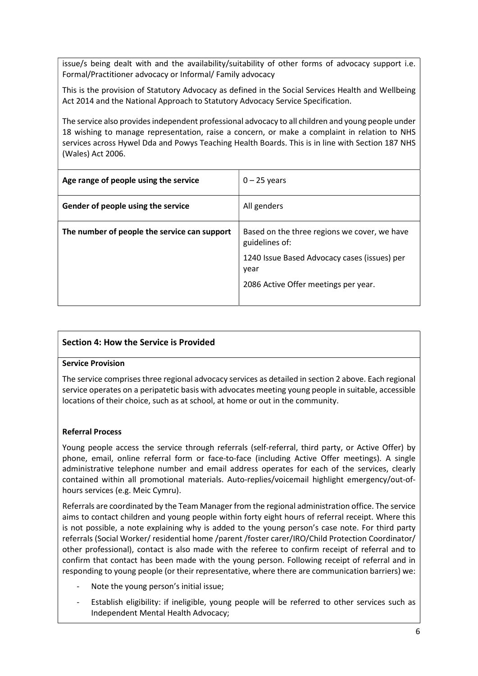issue/s being dealt with and the availability/suitability of other forms of advocacy support i.e. Formal/Practitioner advocacy or Informal/ Family advocacy

This is the provision of Statutory Advocacy as defined in the Social Services Health and Wellbeing Act 2014 and the National Approach to Statutory Advocacy Service Specification.

The service also provides independent professional advocacy to all children and young people under 18 wishing to manage representation, raise a concern, or make a complaint in relation to NHS services across Hywel Dda and Powys Teaching Health Boards. This is in line with Section 187 NHS (Wales) Act 2006.

| Age range of people using the service        | $0 - 25$ years                                                 |
|----------------------------------------------|----------------------------------------------------------------|
| Gender of people using the service           | All genders                                                    |
| The number of people the service can support | Based on the three regions we cover, we have<br>guidelines of: |
|                                              | 1240 Issue Based Advocacy cases (issues) per<br>year           |
|                                              | 2086 Active Offer meetings per year.                           |

## Section 4: How the Service is Provided

## Service Provision

The service comprises three regional advocacy services as detailed in section 2 above. Each regional service operates on a peripatetic basis with advocates meeting young people in suitable, accessible locations of their choice, such as at school, at home or out in the community.

## Referral Process

Young people access the service through referrals (self-referral, third party, or Active Offer) by phone, email, online referral form or face-to-face (including Active Offer meetings). A single administrative telephone number and email address operates for each of the services, clearly contained within all promotional materials. Auto-replies/voicemail highlight emergency/out-ofhours services (e.g. Meic Cymru).

Referrals are coordinated by the Team Manager from the regional administration office. The service aims to contact children and young people within forty eight hours of referral receipt. Where this is not possible, a note explaining why is added to the young person's case note. For third party referrals (Social Worker/ residential home /parent /foster carer/IRO/Child Protection Coordinator/ other professional), contact is also made with the referee to confirm receipt of referral and to confirm that contact has been made with the young person. Following receipt of referral and in responding to young people (or their representative, where there are communication barriers) we:

- Note the young person's initial issue;
- Establish eligibility: if ineligible, young people will be referred to other services such as Independent Mental Health Advocacy;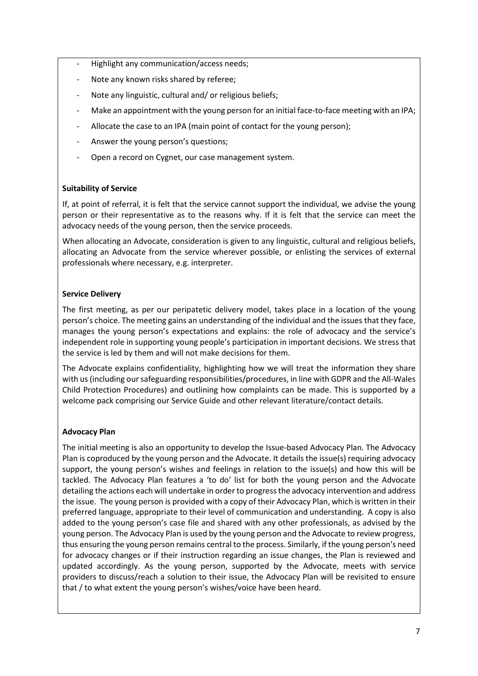- Highlight any communication/access needs;
- Note any known risks shared by referee;
- Note any linguistic, cultural and/ or religious beliefs:
- Make an appointment with the young person for an initial face-to-face meeting with an IPA;
- Allocate the case to an IPA (main point of contact for the young person);
- Answer the young person's questions;
- Open a record on Cygnet, our case management system.

## Suitability of Service

If, at point of referral, it is felt that the service cannot support the individual, we advise the young person or their representative as to the reasons why. If it is felt that the service can meet the advocacy needs of the young person, then the service proceeds.

When allocating an Advocate, consideration is given to any linguistic, cultural and religious beliefs, allocating an Advocate from the service wherever possible, or enlisting the services of external professionals where necessary, e.g. interpreter.

## Service Delivery

The first meeting, as per our peripatetic delivery model, takes place in a location of the young person's choice. The meeting gains an understanding of the individual and the issues that they face, manages the young person's expectations and explains: the role of advocacy and the service's independent role in supporting young people's participation in important decisions. We stress that the service is led by them and will not make decisions for them.

The Advocate explains confidentiality, highlighting how we will treat the information they share with us (including our safeguarding responsibilities/procedures, in line with GDPR and the All-Wales Child Protection Procedures) and outlining how complaints can be made. This is supported by a welcome pack comprising our Service Guide and other relevant literature/contact details.

# Advocacy Plan

The initial meeting is also an opportunity to develop the Issue-based Advocacy Plan. The Advocacy Plan is coproduced by the young person and the Advocate. It details the issue(s) requiring advocacy support, the young person's wishes and feelings in relation to the issue(s) and how this will be tackled. The Advocacy Plan features a 'to do' list for both the young person and the Advocate detailing the actions each will undertake in order to progress the advocacy intervention and address the issue. The young person is provided with a copy of their Advocacy Plan, which is written in their preferred language, appropriate to their level of communication and understanding. A copy is also added to the young person's case file and shared with any other professionals, as advised by the young person. The Advocacy Plan is used by the young person and the Advocate to review progress, thus ensuring the young person remains central to the process. Similarly, if the young person's need for advocacy changes or if their instruction regarding an issue changes, the Plan is reviewed and updated accordingly. As the young person, supported by the Advocate, meets with service providers to discuss/reach a solution to their issue, the Advocacy Plan will be revisited to ensure that / to what extent the young person's wishes/voice have been heard.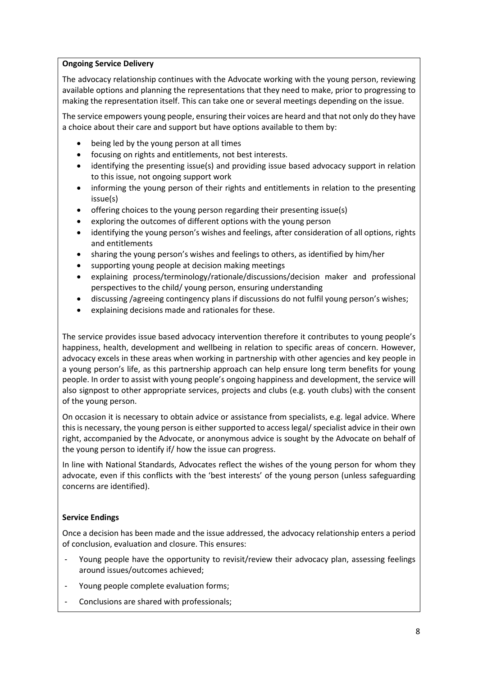#### Ongoing Service Delivery

The advocacy relationship continues with the Advocate working with the young person, reviewing available options and planning the representations that they need to make, prior to progressing to making the representation itself. This can take one or several meetings depending on the issue.

The service empowers young people, ensuring their voices are heard and that not only do they have a choice about their care and support but have options available to them by:

- being led by the young person at all times
- focusing on rights and entitlements, not best interests.
- identifying the presenting issue(s) and providing issue based advocacy support in relation to this issue, not ongoing support work
- informing the young person of their rights and entitlements in relation to the presenting issue(s)
- offering choices to the young person regarding their presenting issue(s)
- exploring the outcomes of different options with the young person
- identifying the young person's wishes and feelings, after consideration of all options, rights and entitlements
- sharing the young person's wishes and feelings to others, as identified by him/her
- supporting young people at decision making meetings
- explaining process/terminology/rationale/discussions/decision maker and professional perspectives to the child/ young person, ensuring understanding
- discussing /agreeing contingency plans if discussions do not fulfil young person's wishes;
- explaining decisions made and rationales for these.

The service provides issue based advocacy intervention therefore it contributes to young people's happiness, health, development and wellbeing in relation to specific areas of concern. However, advocacy excels in these areas when working in partnership with other agencies and key people in a young person's life, as this partnership approach can help ensure long term benefits for young people. In order to assist with young people's ongoing happiness and development, the service will also signpost to other appropriate services, projects and clubs (e.g. youth clubs) with the consent of the young person.

On occasion it is necessary to obtain advice or assistance from specialists, e.g. legal advice. Where this is necessary, the young person is either supported to access legal/ specialist advice in their own right, accompanied by the Advocate, or anonymous advice is sought by the Advocate on behalf of the young person to identify if/ how the issue can progress.

In line with National Standards, Advocates reflect the wishes of the young person for whom they advocate, even if this conflicts with the 'best interests' of the young person (unless safeguarding concerns are identified).

## Service Endings

Once a decision has been made and the issue addressed, the advocacy relationship enters a period of conclusion, evaluation and closure. This ensures:

- Young people have the opportunity to revisit/review their advocacy plan, assessing feelings around issues/outcomes achieved;
- Young people complete evaluation forms;
- Conclusions are shared with professionals;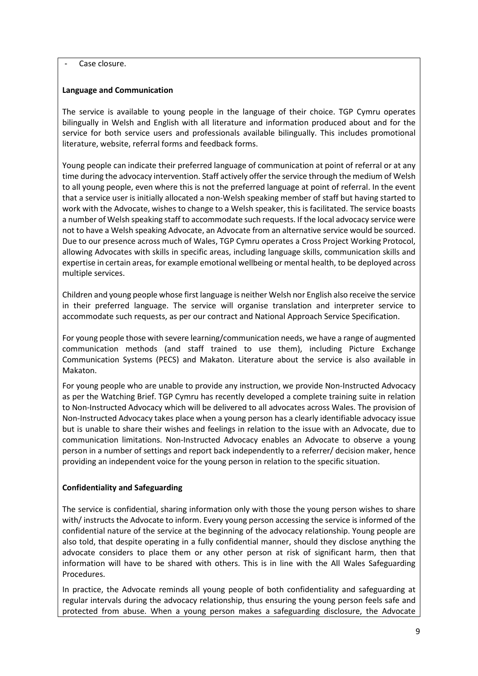#### Case closure.

#### Language and Communication

The service is available to young people in the language of their choice. TGP Cymru operates bilingually in Welsh and English with all literature and information produced about and for the service for both service users and professionals available bilingually. This includes promotional literature, website, referral forms and feedback forms.

Young people can indicate their preferred language of communication at point of referral or at any time during the advocacy intervention. Staff actively offer the service through the medium of Welsh to all young people, even where this is not the preferred language at point of referral. In the event that a service user is initially allocated a non-Welsh speaking member of staff but having started to work with the Advocate, wishes to change to a Welsh speaker, this is facilitated. The service boasts a number of Welsh speaking staff to accommodate such requests. If the local advocacy service were not to have a Welsh speaking Advocate, an Advocate from an alternative service would be sourced. Due to our presence across much of Wales, TGP Cymru operates a Cross Project Working Protocol, allowing Advocates with skills in specific areas, including language skills, communication skills and expertise in certain areas, for example emotional wellbeing or mental health, to be deployed across multiple services.

Children and young people whose first language is neither Welsh nor English also receive the service in their preferred language. The service will organise translation and interpreter service to accommodate such requests, as per our contract and National Approach Service Specification.

For young people those with severe learning/communication needs, we have a range of augmented communication methods (and staff trained to use them), including Picture Exchange Communication Systems (PECS) and Makaton. Literature about the service is also available in Makaton.

For young people who are unable to provide any instruction, we provide Non-Instructed Advocacy as per the Watching Brief. TGP Cymru has recently developed a complete training suite in relation to Non-Instructed Advocacy which will be delivered to all advocates across Wales. The provision of Non-Instructed Advocacy takes place when a young person has a clearly identifiable advocacy issue but is unable to share their wishes and feelings in relation to the issue with an Advocate, due to communication limitations. Non-Instructed Advocacy enables an Advocate to observe a young person in a number of settings and report back independently to a referrer/ decision maker, hence providing an independent voice for the young person in relation to the specific situation.

## Confidentiality and Safeguarding

The service is confidential, sharing information only with those the young person wishes to share with/ instructs the Advocate to inform. Every young person accessing the service is informed of the confidential nature of the service at the beginning of the advocacy relationship. Young people are also told, that despite operating in a fully confidential manner, should they disclose anything the advocate considers to place them or any other person at risk of significant harm, then that information will have to be shared with others. This is in line with the All Wales Safeguarding Procedures.

In practice, the Advocate reminds all young people of both confidentiality and safeguarding at regular intervals during the advocacy relationship, thus ensuring the young person feels safe and protected from abuse. When a young person makes a safeguarding disclosure, the Advocate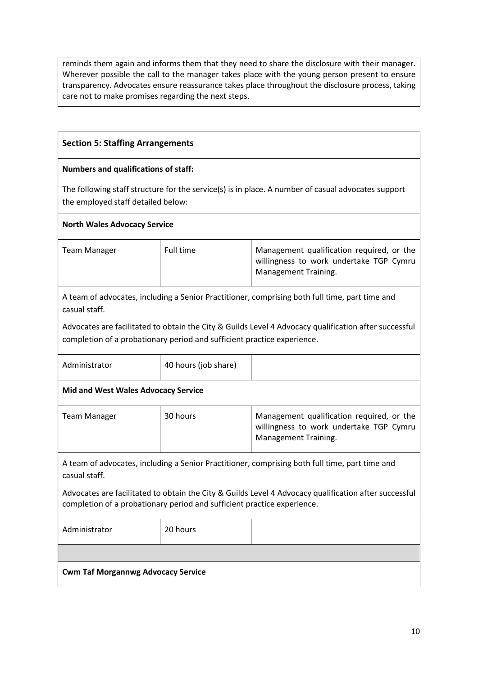reminds them again and informs them that they need to share the disclosure with their manager. Wherever possible the call to the manager takes place with the young person present to ensure transparency. Advocates ensure reassurance takes place throughout the disclosure process, taking care not to make promises regarding the next steps.

## Section 5: Staffing Arrangements

#### Numbers and qualifications of staff:

The following staff structure for the service(s) is in place. A number of casual advocates support the employed staff detailed below:

#### North Wales Advocacy Service

| Team Manager | Full time | Management qualification required, or the<br>willingness to work undertake TGP Cymru<br>Management Training. |
|--------------|-----------|--------------------------------------------------------------------------------------------------------------|
|              |           |                                                                                                              |

A team of advocates, including a Senior Practitioner, comprising both full time, part time and casual staff.

Advocates are facilitated to obtain the City & Guilds Level 4 Advocacy qualification after successful completion of a probationary period and sufficient practice experience.

| Administrator                              | 40 hours (job share) |                                                                                                              |
|--------------------------------------------|----------------------|--------------------------------------------------------------------------------------------------------------|
| <b>Mid and West Wales Advocacy Service</b> |                      |                                                                                                              |
| Team Manager                               | 30 hours             | Management qualification required, or the<br>willingness to work undertake TGP Cymru<br>Management Training. |

A team of advocates, including a Senior Practitioner, comprising both full time, part time and casual staff.

Advocates are facilitated to obtain the City & Guilds Level 4 Advocacy qualification after successful completion of a probationary period and sufficient practice experience.

Administrator 20 hours

## Cwm Taf Morgannwg Advocacy Service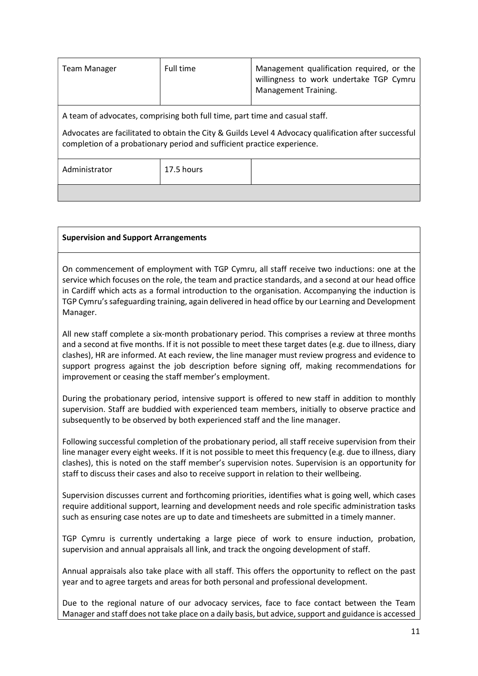| <b>Team Manager</b>                                                                                                                                                                                                                                             | Full time  | Management qualification required, or the<br>willingness to work undertake TGP Cymru<br>Management Training. |
|-----------------------------------------------------------------------------------------------------------------------------------------------------------------------------------------------------------------------------------------------------------------|------------|--------------------------------------------------------------------------------------------------------------|
| A team of advocates, comprising both full time, part time and casual staff.<br>Advocates are facilitated to obtain the City & Guilds Level 4 Advocacy qualification after successful<br>completion of a probationary period and sufficient practice experience. |            |                                                                                                              |
| Administrator                                                                                                                                                                                                                                                   | 17.5 hours |                                                                                                              |
|                                                                                                                                                                                                                                                                 |            |                                                                                                              |

#### Supervision and Support Arrangements

On commencement of employment with TGP Cymru, all staff receive two inductions: one at the service which focuses on the role, the team and practice standards, and a second at our head office in Cardiff which acts as a formal introduction to the organisation. Accompanying the induction is TGP Cymru's safeguarding training, again delivered in head office by our Learning and Development Manager.

All new staff complete a six-month probationary period. This comprises a review at three months and a second at five months. If it is not possible to meet these target dates (e.g. due to illness, diary clashes), HR are informed. At each review, the line manager must review progress and evidence to support progress against the job description before signing off, making recommendations for improvement or ceasing the staff member's employment.

During the probationary period, intensive support is offered to new staff in addition to monthly supervision. Staff are buddied with experienced team members, initially to observe practice and subsequently to be observed by both experienced staff and the line manager.

Following successful completion of the probationary period, all staff receive supervision from their line manager every eight weeks. If it is not possible to meet this frequency (e.g. due to illness, diary clashes), this is noted on the staff member's supervision notes. Supervision is an opportunity for staff to discuss their cases and also to receive support in relation to their wellbeing.

Supervision discusses current and forthcoming priorities, identifies what is going well, which cases require additional support, learning and development needs and role specific administration tasks such as ensuring case notes are up to date and timesheets are submitted in a timely manner.

TGP Cymru is currently undertaking a large piece of work to ensure induction, probation, supervision and annual appraisals all link, and track the ongoing development of staff.

Annual appraisals also take place with all staff. This offers the opportunity to reflect on the past year and to agree targets and areas for both personal and professional development.

Due to the regional nature of our advocacy services, face to face contact between the Team Manager and staff does not take place on a daily basis, but advice, support and guidance is accessed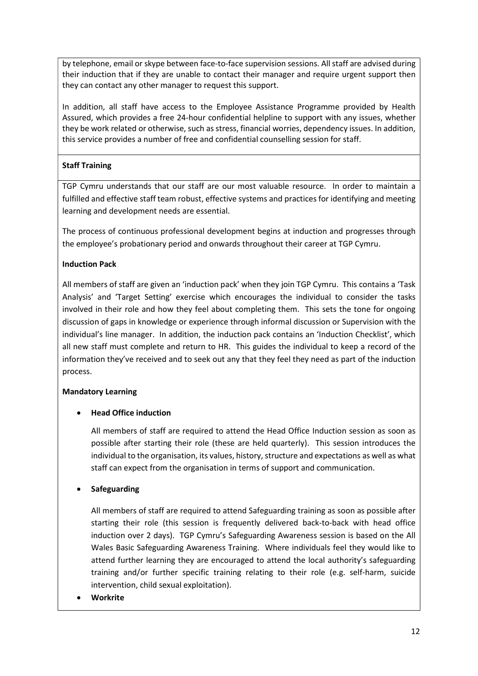by telephone, email or skype between face-to-face supervision sessions. All staff are advised during their induction that if they are unable to contact their manager and require urgent support then they can contact any other manager to request this support.

In addition, all staff have access to the Employee Assistance Programme provided by Health Assured, which provides a free 24-hour confidential helpline to support with any issues, whether they be work related or otherwise, such as stress, financial worries, dependency issues. In addition, this service provides a number of free and confidential counselling session for staff.

# Staff Training

TGP Cymru understands that our staff are our most valuable resource. In order to maintain a fulfilled and effective staff team robust, effective systems and practices for identifying and meeting learning and development needs are essential.

The process of continuous professional development begins at induction and progresses through the employee's probationary period and onwards throughout their career at TGP Cymru.

# Induction Pack

All members of staff are given an 'induction pack' when they join TGP Cymru. This contains a 'Task Analysis' and 'Target Setting' exercise which encourages the individual to consider the tasks involved in their role and how they feel about completing them. This sets the tone for ongoing discussion of gaps in knowledge or experience through informal discussion or Supervision with the individual's line manager. In addition, the induction pack contains an 'Induction Checklist', which all new staff must complete and return to HR. This guides the individual to keep a record of the information they've received and to seek out any that they feel they need as part of the induction process.

# Mandatory Learning

# Head Office induction

All members of staff are required to attend the Head Office Induction session as soon as possible after starting their role (these are held quarterly). This session introduces the individual to the organisation, its values, history, structure and expectations as well as what staff can expect from the organisation in terms of support and communication.

# Safeguarding

All members of staff are required to attend Safeguarding training as soon as possible after starting their role (this session is frequently delivered back-to-back with head office induction over 2 days). TGP Cymru's Safeguarding Awareness session is based on the All Wales Basic Safeguarding Awareness Training. Where individuals feel they would like to attend further learning they are encouraged to attend the local authority's safeguarding training and/or further specific training relating to their role (e.g. self-harm, suicide intervention, child sexual exploitation).

Workrite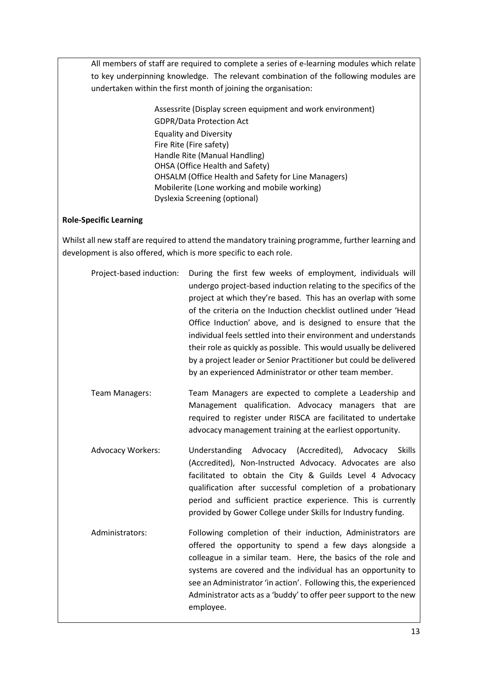All members of staff are required to complete a series of e-learning modules which relate to key underpinning knowledge. The relevant combination of the following modules are undertaken within the first month of joining the organisation:

> Assessrite (Display screen equipment and work environment) GDPR/Data Protection Act Equality and Diversity Fire Rite (Fire safety) Handle Rite (Manual Handling) OHSA (Office Health and Safety) OHSALM (Office Health and Safety for Line Managers) Mobilerite (Lone working and mobile working) Dyslexia Screening (optional)

#### Role-Specific Learning

Whilst all new staff are required to attend the mandatory training programme, further learning and development is also offered, which is more specific to each role.

| Project-based induction: | During the first few weeks of employment, individuals will<br>undergo project-based induction relating to the specifics of the<br>project at which they're based. This has an overlap with some<br>of the criteria on the Induction checklist outlined under 'Head<br>Office Induction' above, and is designed to ensure that the<br>individual feels settled into their environment and understands<br>their role as quickly as possible. This would usually be delivered<br>by a project leader or Senior Practitioner but could be delivered<br>by an experienced Administrator or other team member. |
|--------------------------|----------------------------------------------------------------------------------------------------------------------------------------------------------------------------------------------------------------------------------------------------------------------------------------------------------------------------------------------------------------------------------------------------------------------------------------------------------------------------------------------------------------------------------------------------------------------------------------------------------|
| <b>Team Managers:</b>    | Team Managers are expected to complete a Leadership and<br>Management qualification. Advocacy managers that are<br>required to register under RISCA are facilitated to undertake<br>advocacy management training at the earliest opportunity.                                                                                                                                                                                                                                                                                                                                                            |
| <b>Advocacy Workers:</b> | Understanding Advocacy (Accredited), Advocacy<br>Skills<br>(Accredited), Non-Instructed Advocacy. Advocates are also<br>facilitated to obtain the City & Guilds Level 4 Advocacy<br>qualification after successful completion of a probationary<br>period and sufficient practice experience. This is currently<br>provided by Gower College under Skills for Industry funding.                                                                                                                                                                                                                          |

Administrators: Following completion of their induction, Administrators are offered the opportunity to spend a few days alongside a colleague in a similar team. Here, the basics of the role and systems are covered and the individual has an opportunity to see an Administrator 'in action'. Following this, the experienced Administrator acts as a 'buddy' to offer peer support to the new employee.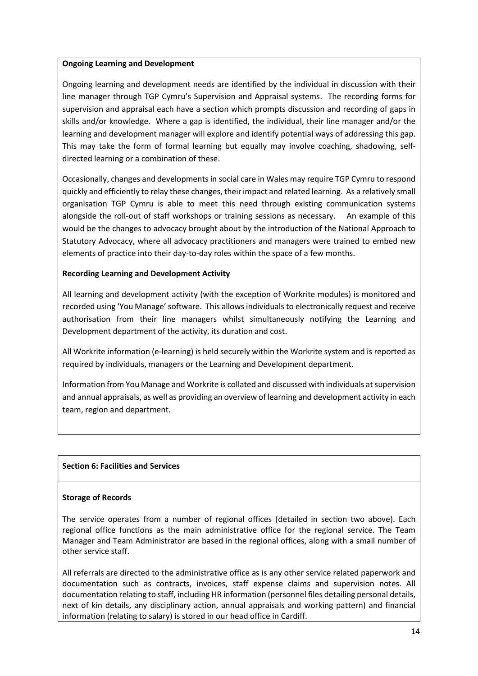#### Ongoing Learning and Development

Ongoing learning and development needs are identified by the individual in discussion with their line manager through TGP Cymru's Supervision and Appraisal systems. The recording forms for supervision and appraisal each have a section which prompts discussion and recording of gaps in skills and/or knowledge. Where a gap is identified, the individual, their line manager and/or the learning and development manager will explore and identify potential ways of addressing this gap. This may take the form of formal learning but equally may involve coaching, shadowing, selfdirected learning or a combination of these.

Occasionally, changes and developments in social care in Wales may require TGP Cymru to respond quickly and efficiently to relay these changes, their impact and related learning. As a relatively small organisation TGP Cymru is able to meet this need through existing communication systems alongside the roll-out of staff workshops or training sessions as necessary. An example of this would be the changes to advocacy brought about by the introduction of the National Approach to Statutory Advocacy, where all advocacy practitioners and managers were trained to embed new elements of practice into their day-to-day roles within the space of a few months.

## Recording Learning and Development Activity

All learning and development activity (with the exception of Workrite modules) is monitored and recorded using 'You Manage' software. This allows individuals to electronically request and receive authorisation from their line managers whilst simultaneously notifying the Learning and Development department of the activity, its duration and cost.

All Workrite information (e-learning) is held securely within the Workrite system and is reported as required by individuals, managers or the Learning and Development department.

Information from You Manage and Workrite is collated and discussed with individuals at supervision and annual appraisals, as well as providing an overview of learning and development activity in each team, region and department.

## Section 6: Facilities and Services

#### Storage of Records

The service operates from a number of regional offices (detailed in section two above). Each regional office functions as the main administrative office for the regional service. The Team Manager and Team Administrator are based in the regional offices, along with a small number of other service staff.

All referrals are directed to the administrative office as is any other service related paperwork and documentation such as contracts, invoices, staff expense claims and supervision notes. All documentation relating to staff, including HR information (personnel files detailing personal details, next of kin details, any disciplinary action, annual appraisals and working pattern) and financial information (relating to salary) is stored in our head office in Cardiff.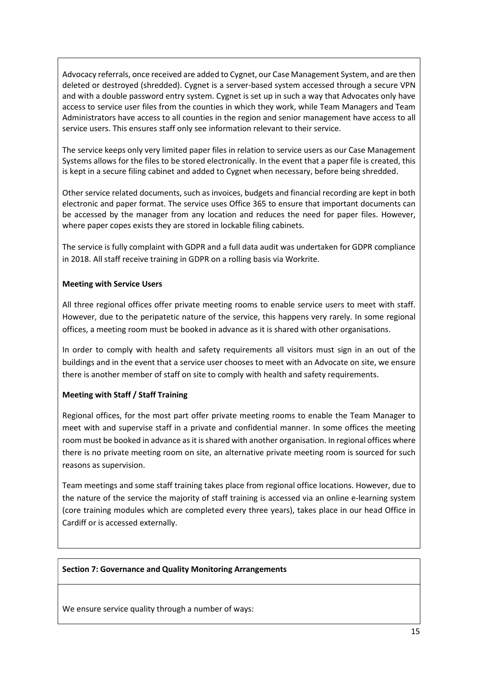Advocacy referrals, once received are added to Cygnet, our Case Management System, and are then deleted or destroyed (shredded). Cygnet is a server-based system accessed through a secure VPN and with a double password entry system. Cygnet is set up in such a way that Advocates only have access to service user files from the counties in which they work, while Team Managers and Team Administrators have access to all counties in the region and senior management have access to all service users. This ensures staff only see information relevant to their service.

The service keeps only very limited paper files in relation to service users as our Case Management Systems allows for the files to be stored electronically. In the event that a paper file is created, this is kept in a secure filing cabinet and added to Cygnet when necessary, before being shredded.

Other service related documents, such as invoices, budgets and financial recording are kept in both electronic and paper format. The service uses Office 365 to ensure that important documents can be accessed by the manager from any location and reduces the need for paper files. However, where paper copes exists they are stored in lockable filing cabinets.

The service is fully complaint with GDPR and a full data audit was undertaken for GDPR compliance in 2018. All staff receive training in GDPR on a rolling basis via Workrite.

## Meeting with Service Users

All three regional offices offer private meeting rooms to enable service users to meet with staff. However, due to the peripatetic nature of the service, this happens very rarely. In some regional offices, a meeting room must be booked in advance as it is shared with other organisations.

In order to comply with health and safety requirements all visitors must sign in an out of the buildings and in the event that a service user chooses to meet with an Advocate on site, we ensure there is another member of staff on site to comply with health and safety requirements.

## Meeting with Staff / Staff Training

Regional offices, for the most part offer private meeting rooms to enable the Team Manager to meet with and supervise staff in a private and confidential manner. In some offices the meeting room must be booked in advance as it is shared with another organisation. In regional offices where there is no private meeting room on site, an alternative private meeting room is sourced for such reasons as supervision.

Team meetings and some staff training takes place from regional office locations. However, due to the nature of the service the majority of staff training is accessed via an online e-learning system (core training modules which are completed every three years), takes place in our head Office in Cardiff or is accessed externally.

#### Section 7: Governance and Quality Monitoring Arrangements

We ensure service quality through a number of ways: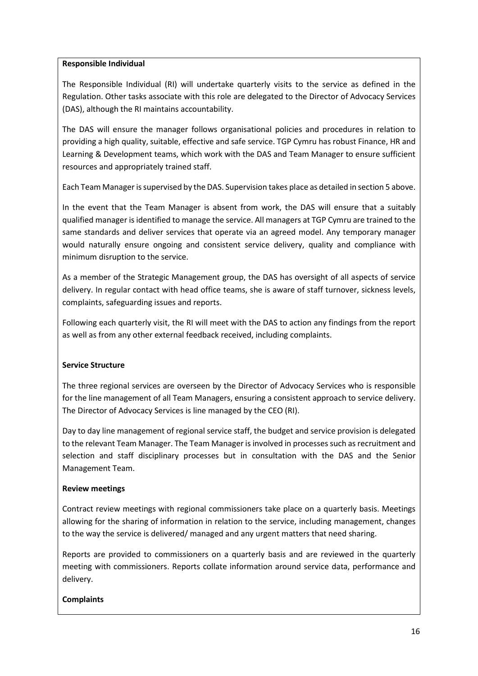#### Responsible Individual

The Responsible Individual (RI) will undertake quarterly visits to the service as defined in the Regulation. Other tasks associate with this role are delegated to the Director of Advocacy Services (DAS), although the RI maintains accountability.

The DAS will ensure the manager follows organisational policies and procedures in relation to providing a high quality, suitable, effective and safe service. TGP Cymru has robust Finance, HR and Learning & Development teams, which work with the DAS and Team Manager to ensure sufficient resources and appropriately trained staff.

Each Team Manager is supervised by the DAS. Supervision takes place as detailed in section 5 above.

In the event that the Team Manager is absent from work, the DAS will ensure that a suitably qualified manager is identified to manage the service. All managers at TGP Cymru are trained to the same standards and deliver services that operate via an agreed model. Any temporary manager would naturally ensure ongoing and consistent service delivery, quality and compliance with minimum disruption to the service.

As a member of the Strategic Management group, the DAS has oversight of all aspects of service delivery. In regular contact with head office teams, she is aware of staff turnover, sickness levels, complaints, safeguarding issues and reports.

Following each quarterly visit, the RI will meet with the DAS to action any findings from the report as well as from any other external feedback received, including complaints.

## Service Structure

The three regional services are overseen by the Director of Advocacy Services who is responsible for the line management of all Team Managers, ensuring a consistent approach to service delivery. The Director of Advocacy Services is line managed by the CEO (RI).

Day to day line management of regional service staff, the budget and service provision is delegated to the relevant Team Manager. The Team Manager is involved in processes such as recruitment and selection and staff disciplinary processes but in consultation with the DAS and the Senior Management Team.

## Review meetings

Contract review meetings with regional commissioners take place on a quarterly basis. Meetings allowing for the sharing of information in relation to the service, including management, changes to the way the service is delivered/ managed and any urgent matters that need sharing.

Reports are provided to commissioners on a quarterly basis and are reviewed in the quarterly meeting with commissioners. Reports collate information around service data, performance and delivery.

## Complaints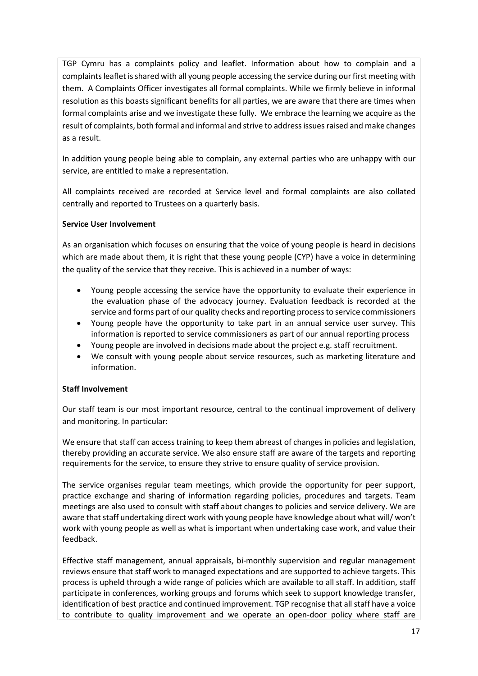TGP Cymru has a complaints policy and leaflet. Information about how to complain and a complaints leaflet is shared with all young people accessing the service during our first meeting with them. A Complaints Officer investigates all formal complaints. While we firmly believe in informal resolution as this boasts significant benefits for all parties, we are aware that there are times when formal complaints arise and we investigate these fully. We embrace the learning we acquire as the result of complaints, both formal and informal and strive to address issues raised and make changes as a result.

In addition young people being able to complain, any external parties who are unhappy with our service, are entitled to make a representation.

All complaints received are recorded at Service level and formal complaints are also collated centrally and reported to Trustees on a quarterly basis.

## Service User Involvement

As an organisation which focuses on ensuring that the voice of young people is heard in decisions which are made about them, it is right that these young people (CYP) have a voice in determining the quality of the service that they receive. This is achieved in a number of ways:

- Young people accessing the service have the opportunity to evaluate their experience in the evaluation phase of the advocacy journey. Evaluation feedback is recorded at the service and forms part of our quality checks and reporting process to service commissioners
- Young people have the opportunity to take part in an annual service user survey. This information is reported to service commissioners as part of our annual reporting process
- Young people are involved in decisions made about the project e.g. staff recruitment.
- We consult with young people about service resources, such as marketing literature and information.

## Staff Involvement

Our staff team is our most important resource, central to the continual improvement of delivery and monitoring. In particular:

We ensure that staff can access training to keep them abreast of changes in policies and legislation, thereby providing an accurate service. We also ensure staff are aware of the targets and reporting requirements for the service, to ensure they strive to ensure quality of service provision.

The service organises regular team meetings, which provide the opportunity for peer support, practice exchange and sharing of information regarding policies, procedures and targets. Team meetings are also used to consult with staff about changes to policies and service delivery. We are aware that staff undertaking direct work with young people have knowledge about what will/ won't work with young people as well as what is important when undertaking case work, and value their feedback.

Effective staff management, annual appraisals, bi-monthly supervision and regular management reviews ensure that staff work to managed expectations and are supported to achieve targets. This process is upheld through a wide range of policies which are available to all staff. In addition, staff participate in conferences, working groups and forums which seek to support knowledge transfer, identification of best practice and continued improvement. TGP recognise that all staff have a voice to contribute to quality improvement and we operate an open-door policy where staff are